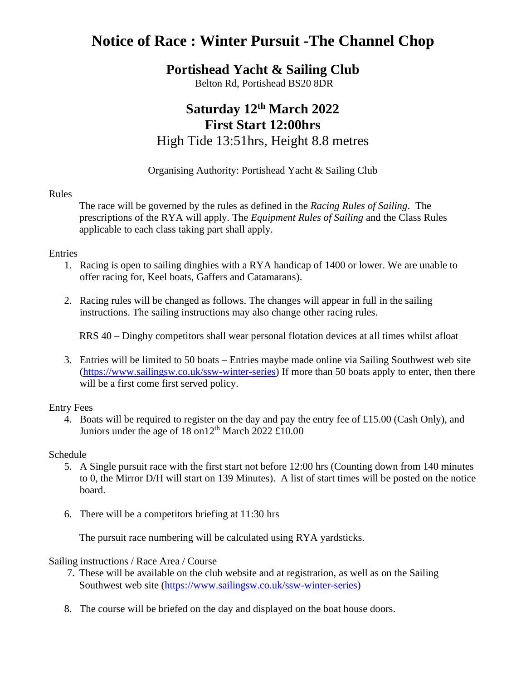# **Notice of Race : Winter Pursuit -The Channel Chop**

### **Portishead Yacht & Sailing Club**

Belton Rd, Portishead BS20 8DR

## **Saturday 12th March 2022 First Start 12:00hrs** High Tide 13:51hrs, Height 8.8 metres

Organising Authority: Portishead Yacht & Sailing Club

#### Rules

The race will be governed by the rules as defined in the *Racing Rules of Sailing*. The prescriptions of the RYA will apply. The *Equipment Rules of Sailing* and the Class Rules applicable to each class taking part shall apply.

#### Entries

- 1. Racing is open to sailing dinghies with a RYA handicap of 1400 or lower. We are unable to offer racing for, Keel boats, Gaffers and Catamarans).
- 2. Racing rules will be changed as follows. The changes will appear in full in the sailing instructions. The sailing instructions may also change other racing rules.

RRS 40 – Dinghy competitors shall wear personal flotation devices at all times whilst afloat

3. Entries will be limited to 50 boats – Entries maybe made online via Sailing Southwest web site (https://www.sailingsw.co.uk/ssw-winter-series) If more than 50 boats apply to enter, then there will be a first come first served policy.

#### Entry Fees

4. Boats will be required to register on the day and pay the entry fee of £15.00 (Cash Only), and Juniors under the age of  $18$  on $12<sup>th</sup>$  March 2022 £10.00

#### Schedule

- 5. A Single pursuit race with the first start not before 12:00 hrs (Counting down from 140 minutes to 0, the Mirror D/H will start on 139 Minutes). A list of start times will be posted on the notice board.
- 6. There will be a competitors briefing at 11:30 hrs

The pursuit race numbering will be calculated using RYA yardsticks.

Sailing instructions / Race Area / Course

- 7. These will be available on the club website and at registration, as well as on the Sailing Southwest web site (https://www.sailingsw.co.uk/ssw-winter-series)
- 8. The course will be briefed on the day and displayed on the boat house doors.